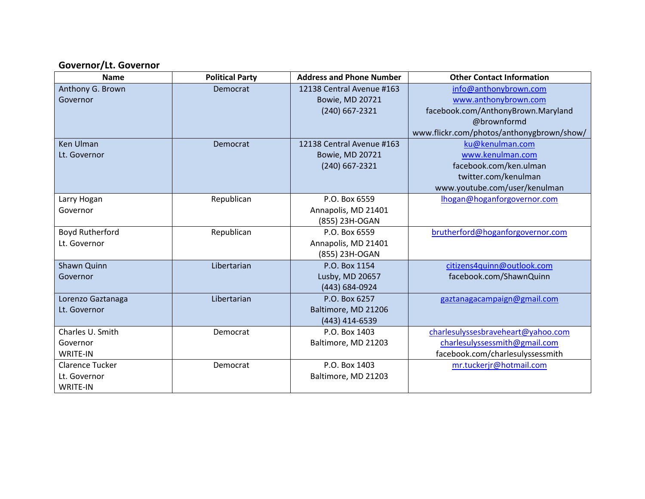### **Governor/Lt. Governor**

| <b>Name</b>            | <b>Political Party</b> | <b>Address and Phone Number</b> | <b>Other Contact Information</b>          |
|------------------------|------------------------|---------------------------------|-------------------------------------------|
| Anthony G. Brown       | Democrat               | 12138 Central Avenue #163       | info@anthonybrown.com                     |
| Governor               |                        | <b>Bowie, MD 20721</b>          | www.anthonybrown.com                      |
|                        |                        | (240) 667-2321                  | facebook.com/AnthonyBrown.Maryland        |
|                        |                        |                                 | @brownformd                               |
|                        |                        |                                 | www.flickr.com/photos/anthonygbrown/show/ |
| <b>Ken Ulman</b>       | Democrat               | 12138 Central Avenue #163       | ku@kenulman.com                           |
| Lt. Governor           |                        | <b>Bowie, MD 20721</b>          | www.kenulman.com                          |
|                        |                        | $(240)$ 667-2321                | facebook.com/ken.ulman                    |
|                        |                        |                                 | twitter.com/kenulman                      |
|                        |                        |                                 | www.youtube.com/user/kenulman             |
| Larry Hogan            | Republican             | P.O. Box 6559                   | lhogan@hoganforgovernor.com               |
| Governor               |                        | Annapolis, MD 21401             |                                           |
|                        |                        | (855) 23H-OGAN                  |                                           |
| <b>Boyd Rutherford</b> | Republican             | P.O. Box 6559                   | brutherford@hoganforgovernor.com          |
| Lt. Governor           |                        | Annapolis, MD 21401             |                                           |
|                        |                        | (855) 23H-OGAN                  |                                           |
| Shawn Quinn            | Libertarian            | P.O. Box 1154                   | citizens4quinn@outlook.com                |
| Governor               |                        | Lusby, MD 20657                 | facebook.com/ShawnQuinn                   |
|                        |                        | (443) 684-0924                  |                                           |
| Lorenzo Gaztanaga      | Libertarian            | P.O. Box 6257                   | gaztanagacampaign@gmail.com               |
| Lt. Governor           |                        | Baltimore, MD 21206             |                                           |
|                        |                        | (443) 414-6539                  |                                           |
| Charles U. Smith       | Democrat               | P.O. Box 1403                   | charlesulyssesbraveheart@yahoo.com        |
| Governor               |                        | Baltimore, MD 21203             | charlesulyssessmith@gmail.com             |
| <b>WRITE-IN</b>        |                        |                                 | facebook.com/charlesulyssessmith          |
| <b>Clarence Tucker</b> | Democrat               | P.O. Box 1403                   | mr.tuckerjr@hotmail.com                   |
| Lt. Governor           |                        | Baltimore, MD 21203             |                                           |
| <b>WRITE-IN</b>        |                        |                                 |                                           |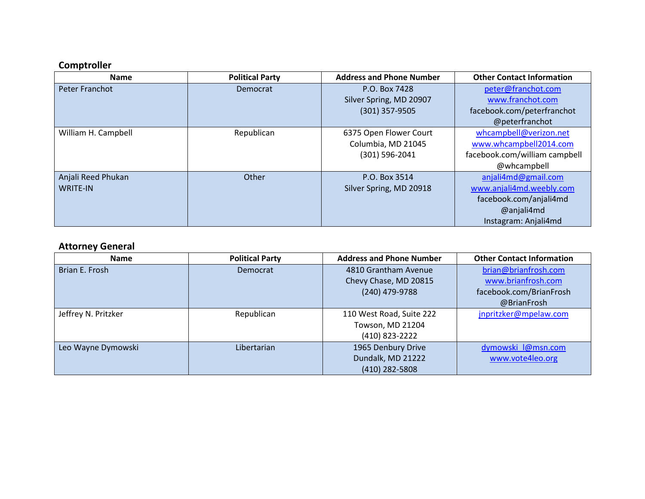# **Comptroller**

| <b>Name</b>         | <b>Political Party</b> | <b>Address and Phone Number</b> | <b>Other Contact Information</b> |
|---------------------|------------------------|---------------------------------|----------------------------------|
| Peter Franchot      | Democrat               | P.O. Box 7428                   | peter@franchot.com               |
|                     |                        | Silver Spring, MD 20907         | www.franchot.com                 |
|                     |                        | $(301)$ 357-9505                | facebook.com/peterfranchot       |
|                     |                        |                                 | @peterfranchot                   |
| William H. Campbell | Republican             | 6375 Open Flower Court          | whcampbell@verizon.net           |
|                     |                        | Columbia, MD 21045              | www.whcampbell2014.com           |
|                     |                        | $(301) 596 - 2041$              | facebook.com/william campbell    |
|                     |                        |                                 | @whcampbell                      |
| Anjali Reed Phukan  | Other                  | P.O. Box 3514                   | anjali4md@gmail.com              |
| <b>WRITE-IN</b>     |                        | Silver Spring, MD 20918         | www.anjali4md.weebly.com         |
|                     |                        |                                 | facebook.com/anjali4md           |
|                     |                        |                                 | @anjali4md                       |
|                     |                        |                                 | Instagram: Anjali4md             |

# **Attorney General**

| <b>Name</b>         | <b>Political Party</b> | <b>Address and Phone Number</b> | <b>Other Contact Information</b> |
|---------------------|------------------------|---------------------------------|----------------------------------|
| Brian E. Frosh      | Democrat               | 4810 Grantham Avenue            | brian@brianfrosh.com             |
|                     |                        | Chevy Chase, MD 20815           | www.brianfrosh.com               |
|                     |                        | (240) 479-9788                  | facebook.com/BrianFrosh          |
|                     |                        |                                 | @BrianFrosh                      |
| Jeffrey N. Pritzker | Republican             | 110 West Road, Suite 222        | jnpritzker@mpelaw.com            |
|                     |                        | Towson, MD 21204                |                                  |
|                     |                        | (410) 823-2222                  |                                  |
| Leo Wayne Dymowski  | Libertarian            | 1965 Denbury Drive              | dymowski_l@msn.com               |
|                     |                        | Dundalk, MD 21222               | www.vote4leo.org                 |
|                     |                        | (410) 282-5808                  |                                  |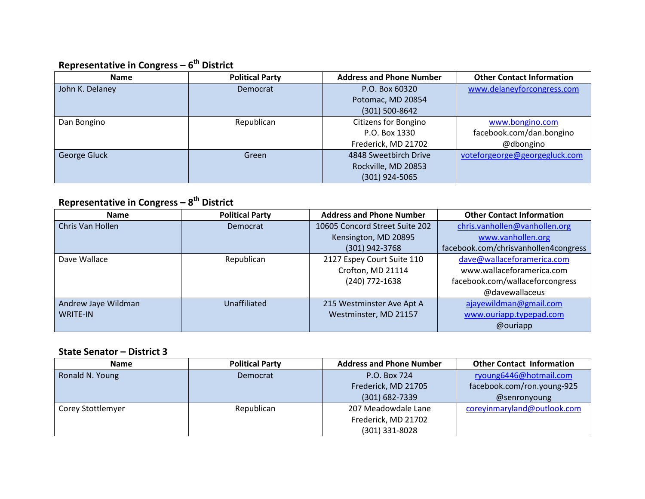## **Representative in Congress – 6 th District**

| Name            | <b>Political Party</b> | <b>Address and Phone Number</b> | <b>Other Contact Information</b> |
|-----------------|------------------------|---------------------------------|----------------------------------|
| John K. Delaney | Democrat               | P.O. Box 60320                  | www.delaneyforcongress.com       |
|                 |                        | Potomac, MD 20854               |                                  |
|                 |                        | (301) 500-8642                  |                                  |
| Dan Bongino     | Republican             | Citizens for Bongino            | www.bongino.com                  |
|                 |                        | P.O. Box 1330                   | facebook.com/dan.bongino         |
|                 |                        | Frederick, MD 21702             | @dbongino                        |
| George Gluck    | Green                  | 4848 Sweetbirch Drive           | voteforgeorge@georgegluck.com    |
|                 |                        | Rockville, MD 20853             |                                  |
|                 |                        | $(301)$ 924-5065                |                                  |

## **Representative in Congress – 8 th District**

| <b>Name</b>         | <b>Political Party</b> | <b>Address and Phone Number</b> | <b>Other Contact Information</b>     |
|---------------------|------------------------|---------------------------------|--------------------------------------|
| Chris Van Hollen    | Democrat               | 10605 Concord Street Suite 202  | chris.vanhollen@vanhollen.org        |
|                     |                        | Kensington, MD 20895            | www.vanhollen.org                    |
|                     |                        | (301) 942-3768                  | facebook.com/chrisvanhollen4congress |
| Dave Wallace        | Republican             | 2127 Espey Court Suite 110      | dave@wallaceforamerica.com           |
|                     |                        | Crofton, MD 21114               | www.wallaceforamerica.com            |
|                     |                        | (240) 772-1638                  | facebook.com/wallaceforcongress      |
|                     |                        |                                 | @davewallaceus                       |
| Andrew Jaye Wildman | <b>Unaffiliated</b>    | 215 Westminster Ave Apt A       | ajayewildman@gmail.com               |
| <b>WRITE-IN</b>     |                        | Westminster, MD 21157           | www.ouriapp.typepad.com              |
|                     |                        |                                 | @ouriapp                             |

#### **State Senator – District 3**

| <b>Name</b>       | <b>Political Party</b> | <b>Address and Phone Number</b> | <b>Other Contact Information</b> |
|-------------------|------------------------|---------------------------------|----------------------------------|
| Ronald N. Young   | Democrat               | P.O. Box 724                    | ryoung6446@hotmail.com           |
|                   |                        | Frederick, MD 21705             | facebook.com/ron.young-925       |
|                   |                        | $(301) 682 - 7339$              | @senronyoung                     |
| Corey Stottlemyer | Republican             | 207 Meadowdale Lane             | coreyinmaryland@outlook.com      |
|                   |                        | Frederick, MD 21702             |                                  |
|                   |                        | (301) 331-8028                  |                                  |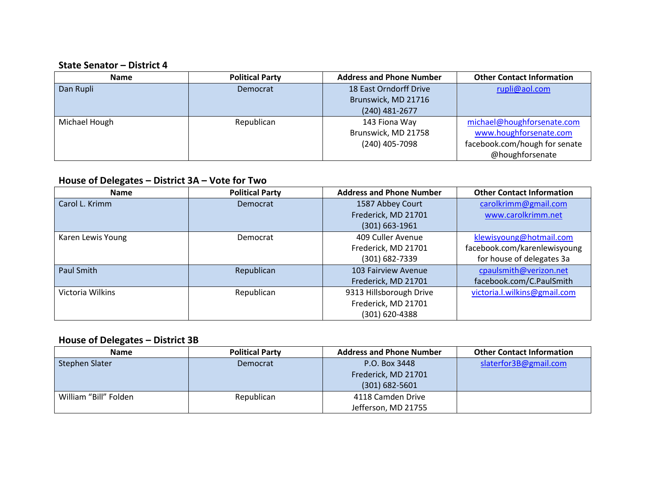#### **State Senator – District 4**

| Name          | <b>Political Party</b> | <b>Address and Phone Number</b> | <b>Other Contact Information</b> |
|---------------|------------------------|---------------------------------|----------------------------------|
| Dan Rupli     | Democrat               | 18 East Orndorff Drive          | rupli@aol.com                    |
|               |                        | Brunswick, MD 21716             |                                  |
|               |                        | $(240)$ 481-2677                |                                  |
| Michael Hough | Republican             | 143 Fiona Way                   | michael@houghforsenate.com       |
|               |                        | Brunswick, MD 21758             | www.houghforsenate.com           |
|               |                        | (240) 405-7098                  | facebook.com/hough for senate    |
|               |                        |                                 | @houghforsenate                  |

# **House of Delegates – District 3A – Vote for Two**

| <b>Name</b>       | <b>Political Party</b> | <b>Address and Phone Number</b> | <b>Other Contact Information</b> |
|-------------------|------------------------|---------------------------------|----------------------------------|
| Carol L. Krimm    | Democrat               | 1587 Abbey Court                | carolkrimm@gmail.com             |
|                   |                        | Frederick, MD 21701             | www.carolkrimm.net               |
|                   |                        | $(301) 663 - 1961$              |                                  |
| Karen Lewis Young | Democrat               | 409 Culler Avenue               | klewisyoung@hotmail.com          |
|                   |                        | Frederick, MD 21701             | facebook.com/karenlewisyoung     |
|                   |                        | (301) 682-7339                  | for house of delegates 3a        |
| Paul Smith        | Republican             | 103 Fairview Avenue             | cpaulsmith@verizon.net           |
|                   |                        | Frederick, MD 21701             | facebook.com/C.PaulSmith         |
| Victoria Wilkins  | Republican             | 9313 Hillsborough Drive         | victoria.l.wilkins@gmail.com     |
|                   |                        | Frederick, MD 21701             |                                  |
|                   |                        | (301) 620-4388                  |                                  |

# **House of Delegates – District 3B**

| <b>Name</b>           | <b>Political Party</b> | <b>Address and Phone Number</b> | <b>Other Contact Information</b> |
|-----------------------|------------------------|---------------------------------|----------------------------------|
| Stephen Slater        | Democrat               | P.O. Box 3448                   | slaterfor3B@gmail.com            |
|                       |                        | Frederick, MD 21701             |                                  |
|                       |                        | $(301) 682 - 5601$              |                                  |
| William "Bill" Folden | Republican             | 4118 Camden Drive               |                                  |
|                       |                        | Jefferson, MD 21755             |                                  |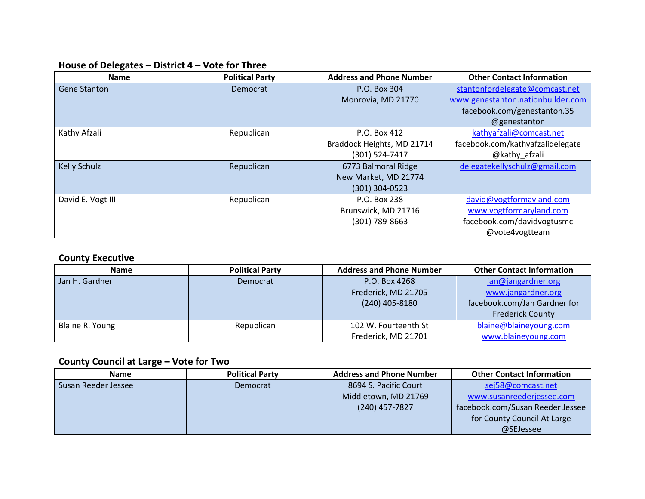# **House of Delegates – District 4 – Vote for Three**

| <b>Name</b>         | <b>Political Party</b> | <b>Address and Phone Number</b> | <b>Other Contact Information</b>  |
|---------------------|------------------------|---------------------------------|-----------------------------------|
| <b>Gene Stanton</b> | Democrat               | P.O. Box 304                    | stantonfordelegate@comcast.net    |
|                     |                        | Monrovia, MD 21770              | www.genestanton.nationbuilder.com |
|                     |                        |                                 | facebook.com/genestanton.35       |
|                     |                        |                                 | @genestanton                      |
| Kathy Afzali        | Republican             | P.O. Box 412                    | kathyafzali@comcast.net           |
|                     |                        | Braddock Heights, MD 21714      | facebook.com/kathyafzalidelegate  |
|                     |                        | (301) 524-7417                  | @kathy afzali                     |
| <b>Kelly Schulz</b> | Republican             | 6773 Balmoral Ridge             | delegatekellyschulz@gmail.com     |
|                     |                        | New Market, MD 21774            |                                   |
|                     |                        | $(301)$ 304-0523                |                                   |
| David E. Vogt III   | Republican             | P.O. Box 238                    | david@vogtformayland.com          |
|                     |                        | Brunswick, MD 21716             | www.vogtformaryland.com           |
|                     |                        | (301) 789-8663                  | facebook.com/davidvogtusmc        |
|                     |                        |                                 | @vote4vogtteam                    |

#### **County Executive**

| <b>Name</b>     | <b>Political Party</b> | <b>Address and Phone Number</b> | <b>Other Contact Information</b> |
|-----------------|------------------------|---------------------------------|----------------------------------|
| Jan H. Gardner  | Democrat               | P.O. Box 4268                   | jan@jangardner.org               |
|                 |                        | Frederick, MD 21705             | www.jangardner.org               |
|                 |                        | $(240)$ 405-8180                | facebook.com/Jan Gardner for     |
|                 |                        |                                 | <b>Frederick County</b>          |
| Blaine R. Young | Republican             | 102 W. Fourteenth St            | blaine@blaineyoung.com           |
|                 |                        | Frederick, MD 21701             | www.blaineyoung.com              |

# **County Council at Large – Vote for Two**

| <b>Name</b>         | <b>Political Party</b> | <b>Address and Phone Number</b> | <b>Other Contact Information</b> |
|---------------------|------------------------|---------------------------------|----------------------------------|
| Susan Reeder Jessee | Democrat               | 8694 S. Pacific Court           | sej58@comcast.net                |
|                     |                        | Middletown, MD 21769            | www.susanreederjessee.com        |
|                     |                        | $(240)$ 457-7827                | facebook.com/Susan Reeder Jessee |
|                     |                        |                                 | for County Council At Large      |
|                     |                        |                                 | @SEJessee                        |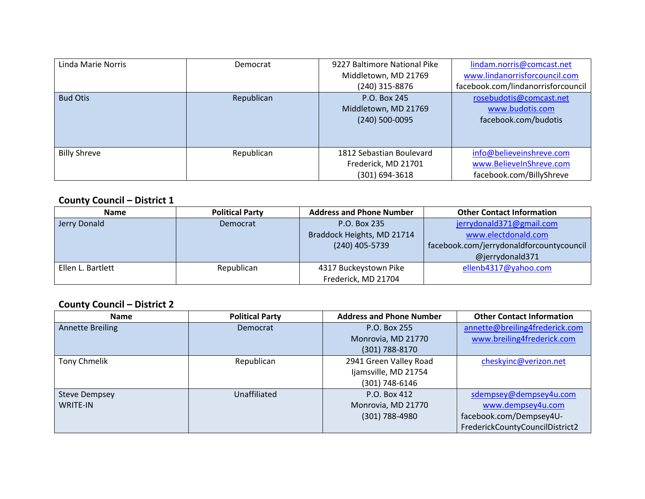| Linda Marie Norris  | Democrat   | 9227 Baltimore National Pike | lindam.norris@comcast.net          |
|---------------------|------------|------------------------------|------------------------------------|
|                     |            | Middletown, MD 21769         | www.lindanorrisforcouncil.com      |
|                     |            | (240) 315-8876               | facebook.com/lindanorrisforcouncil |
| <b>Bud Otis</b>     | Republican | P.O. Box 245                 | rosebudotis@comcast.net            |
|                     |            | Middletown, MD 21769         | www.budotis.com                    |
|                     |            | $(240)$ 500-0095             | facebook.com/budotis               |
|                     |            |                              |                                    |
|                     |            |                              |                                    |
| <b>Billy Shreve</b> | Republican | 1812 Sebastian Boulevard     | info@believeinshreve.com           |
|                     |            | Frederick, MD 21701          | www.BelieveInShreve.com            |
|                     |            | (301) 694-3618               | facebook.com/BillyShreve           |

#### **County Council – District 1**

| <b>Name</b>       | <b>Political Party</b> | <b>Address and Phone Number</b> | <b>Other Contact Information</b>         |
|-------------------|------------------------|---------------------------------|------------------------------------------|
|                   |                        |                                 |                                          |
| Jerry Donald      | Democrat               | P.O. Box 235                    | jerrydonald371@gmail.com                 |
|                   |                        | Braddock Heights, MD 21714      | www.electdonald.com                      |
|                   |                        | (240) 405-5739                  | facebook.com/jerrydonaldforcountycouncil |
|                   |                        |                                 | @jerrydonald371                          |
| Ellen L. Bartlett | Republican             | 4317 Buckeystown Pike           | ellenb4317@yahoo.com                     |
|                   |                        | Frederick, MD 21704             |                                          |

#### **County Council – District 2**

| <b>Name</b>             | <b>Political Party</b> | <b>Address and Phone Number</b> | <b>Other Contact Information</b> |
|-------------------------|------------------------|---------------------------------|----------------------------------|
| <b>Annette Breiling</b> | Democrat               | P.O. Box 255                    | annette@breiling4frederick.com   |
|                         |                        | Monrovia, MD 21770              | www.breiling4frederick.com       |
|                         |                        | (301) 788-8170                  |                                  |
| <b>Tony Chmelik</b>     | Republican             | 2941 Green Valley Road          | cheskyinc@verizon.net            |
|                         |                        | Ijamsville, MD 21754            |                                  |
|                         |                        | (301) 748-6146                  |                                  |
| <b>Steve Dempsey</b>    | Unaffiliated           | P.O. Box 412                    | sdempsey@dempsey4u.com           |
| <b>WRITE-IN</b>         |                        | Monrovia, MD 21770              | www.dempsey4u.com                |
|                         |                        | (301) 788-4980                  | facebook.com/Dempsey4U-          |
|                         |                        |                                 | FrederickCountyCouncilDistrict2  |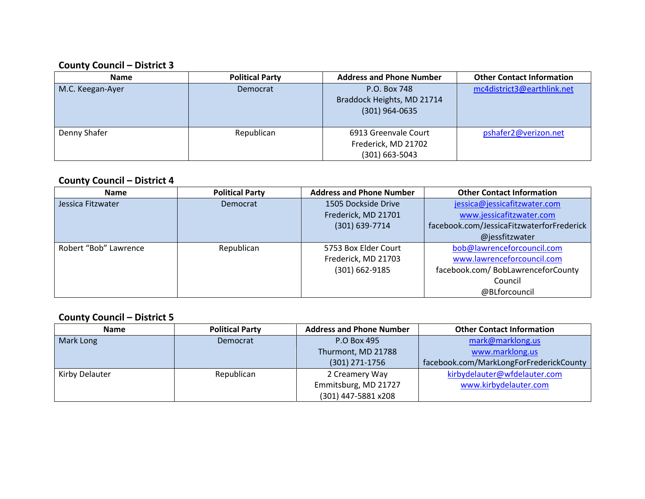#### **County Council – District 3**

| <b>Name</b>      | <b>Political Party</b> | <b>Address and Phone Number</b>                                   | <b>Other Contact Information</b> |
|------------------|------------------------|-------------------------------------------------------------------|----------------------------------|
| M.C. Keegan-Ayer | Democrat               | P.O. Box 748<br>Braddock Heights, MD 21714<br>$(301)$ 964-0635    | mc4district3@earthlink.net       |
| Denny Shafer     | Republican             | 6913 Greenvale Court<br>Frederick, MD 21702<br>$(301) 663 - 5043$ | pshafer2@verizon.net             |

#### **County Council – District 4**

| <b>Name</b>           | <b>Political Party</b> | <b>Address and Phone Number</b> | <b>Other Contact Information</b>          |
|-----------------------|------------------------|---------------------------------|-------------------------------------------|
| Jessica Fitzwater     | Democrat               | 1505 Dockside Drive             | jessica@jessicafitzwater.com              |
|                       |                        | Frederick, MD 21701             | www.jessicafitzwater.com                  |
|                       |                        | $(301)$ 639-7714                | facebook.com/JessicaFitzwaterforFrederick |
|                       |                        |                                 | @jessfitzwater                            |
| Robert "Bob" Lawrence | Republican             | 5753 Box Elder Court            | bob@lawrenceforcouncil.com                |
|                       |                        | Frederick, MD 21703             | www.lawrenceforcouncil.com                |
|                       |                        | $(301) 662 - 9185$              | facebook.com/ BobLawrenceforCounty        |
|                       |                        |                                 | Council                                   |
|                       |                        |                                 | @BLforcouncil                             |

#### **County Council – District 5**

| <b>Name</b>    | <b>Political Party</b> | <b>Address and Phone Number</b> | <b>Other Contact Information</b>        |
|----------------|------------------------|---------------------------------|-----------------------------------------|
| Mark Long      | Democrat               | P.O Box 495                     | mark@marklong.us                        |
|                |                        | Thurmont, MD 21788              | www.marklong.us                         |
|                |                        | $(301)$ 271-1756                | facebook.com/MarkLongForFrederickCounty |
| Kirby Delauter | Republican             | 2 Creamery Way                  | kirbydelauter@wfdelauter.com            |
|                |                        | Emmitsburg, MD 21727            | www.kirbydelauter.com                   |
|                |                        | (301) 447-5881 x208             |                                         |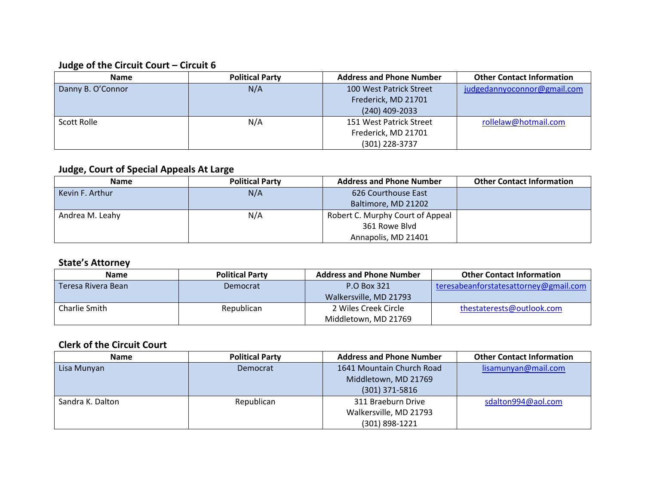# **Judge of the Circuit Court – Circuit 6**

| <b>Name</b>       | <b>Political Party</b> | <b>Address and Phone Number</b> | <b>Other Contact Information</b> |
|-------------------|------------------------|---------------------------------|----------------------------------|
| Danny B. O'Connor | N/A                    | 100 West Patrick Street         | judgedannyoconnor@gmail.com      |
|                   |                        | Frederick, MD 21701             |                                  |
|                   |                        | $(240)$ 409-2033                |                                  |
| Scott Rolle       | N/A                    | 151 West Patrick Street         | rollelaw@hotmail.com             |
|                   |                        | Frederick, MD 21701             |                                  |
|                   |                        | (301) 228-3737                  |                                  |

### **Judge, Court of Special Appeals At Large**

| <b>Name</b>     | <b>Political Party</b> | <b>Address and Phone Number</b>  | <b>Other Contact Information</b> |
|-----------------|------------------------|----------------------------------|----------------------------------|
| Kevin F. Arthur | N/A                    | 626 Courthouse East              |                                  |
|                 |                        | Baltimore, MD 21202              |                                  |
| Andrea M. Leahy | N/A                    | Robert C. Murphy Court of Appeal |                                  |
|                 |                        | 361 Rowe Blvd                    |                                  |
|                 |                        | Annapolis, MD 21401              |                                  |

### **State's Attorney**

| Name               | <b>Political Party</b> | <b>Address and Phone Number</b> | <b>Other Contact Information</b>      |
|--------------------|------------------------|---------------------------------|---------------------------------------|
| Teresa Rivera Bean | Democrat               | P.O Box 321                     | teresabeanforstatesattorney@gmail.com |
|                    |                        | Walkersville, MD 21793          |                                       |
| Charlie Smith      | Republican             | 2 Wiles Creek Circle            | thestaterests@outlook.com             |
|                    |                        | Middletown, MD 21769            |                                       |

### **Clerk of the Circuit Court**

| <b>Name</b>      | <b>Political Party</b> | <b>Address and Phone Number</b> | <b>Other Contact Information</b> |
|------------------|------------------------|---------------------------------|----------------------------------|
| Lisa Munyan      | Democrat               | 1641 Mountain Church Road       | lisamunyan@mail.com              |
|                  |                        | Middletown, MD 21769            |                                  |
|                  |                        | $(301)$ 371-5816                |                                  |
| Sandra K. Dalton | Republican             | 311 Braeburn Drive              | sdalton994@aol.com               |
|                  |                        | Walkersville, MD 21793          |                                  |
|                  |                        | (301) 898-1221                  |                                  |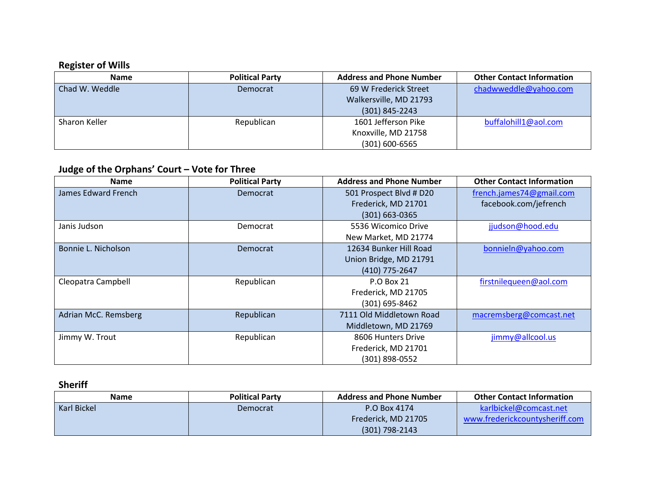# **Register of Wills**

| <b>Name</b>    | <b>Political Party</b> | <b>Address and Phone Number</b> | <b>Other Contact Information</b> |
|----------------|------------------------|---------------------------------|----------------------------------|
| Chad W. Weddle | Democrat               | 69 W Frederick Street           | chadwweddle@yahoo.com            |
|                |                        | Walkersville, MD 21793          |                                  |
|                |                        | $(301) 845 - 2243$              |                                  |
| Sharon Keller  | Republican             | 1601 Jefferson Pike             | buffalohill1@aol.com             |
|                |                        | Knoxville, MD 21758             |                                  |
|                |                        | $(301) 600 - 6565$              |                                  |

# **Judge of the Orphans' Court – Vote for Three**

| <b>Name</b>          | <b>Political Party</b> | <b>Address and Phone Number</b> | <b>Other Contact Information</b> |
|----------------------|------------------------|---------------------------------|----------------------------------|
| James Edward French  | Democrat               | 501 Prospect Blvd # D20         | french.james74@gmail.com         |
|                      |                        | Frederick, MD 21701             | facebook.com/jefrench            |
|                      |                        | $(301) 663 - 0365$              |                                  |
| Janis Judson         | Democrat               | 5536 Wicomico Drive             | jjudson@hood.edu                 |
|                      |                        | New Market, MD 21774            |                                  |
| Bonnie L. Nicholson  | Democrat               | 12634 Bunker Hill Road          | bonnieln@yahoo.com               |
|                      |                        | Union Bridge, MD 21791          |                                  |
|                      |                        | (410) 775-2647                  |                                  |
| Cleopatra Campbell   | Republican             | <b>P.O Box 21</b>               | firstnilequeen@aol.com           |
|                      |                        | Frederick, MD 21705             |                                  |
|                      |                        | $(301)$ 695-8462                |                                  |
| Adrian McC. Remsberg | Republican             | 7111 Old Middletown Road        | macremsberg@comcast.net          |
|                      |                        | Middletown, MD 21769            |                                  |
| Jimmy W. Trout       | Republican             | 8606 Hunters Drive              | jimmy@allcool.us                 |
|                      |                        | Frederick, MD 21701             |                                  |
|                      |                        | (301) 898-0552                  |                                  |

**Sheriff**

| <b>Name</b> | <b>Political Party</b> | <b>Address and Phone Number</b> | <b>Other Contact Information</b> |
|-------------|------------------------|---------------------------------|----------------------------------|
| Karl Bickel | Democrat               | P.O Box 4174                    | karlbickel@comcast.net           |
|             |                        | Frederick, MD 21705             | www.frederickcountysheriff.com   |
|             |                        | $(301)$ 798-2143                |                                  |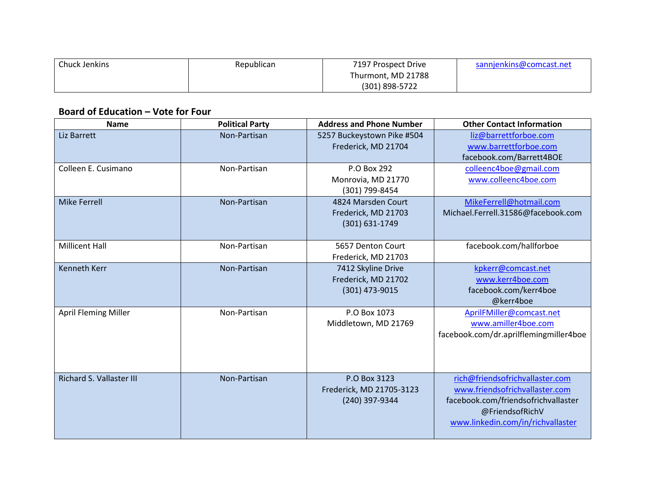| Chuck Jenkins | Republican | 7197 Prospect Drive | sannjenkins@comcast.net |
|---------------|------------|---------------------|-------------------------|
|               |            | Thurmont, MD 21788  |                         |
|               |            | (301) 898-5722      |                         |

#### **Board of Education – Vote for Four**

| <b>Name</b>                     | <b>Political Party</b> | <b>Address and Phone Number</b> | <b>Other Contact Information</b>       |
|---------------------------------|------------------------|---------------------------------|----------------------------------------|
| Liz Barrett                     | Non-Partisan           | 5257 Buckeystown Pike #504      | liz@barrettforboe.com                  |
|                                 |                        | Frederick, MD 21704             | www.barrettforboe.com                  |
|                                 |                        |                                 | facebook.com/Barrett4BOE               |
| Colleen E. Cusimano             | Non-Partisan           | P.O Box 292                     | colleenc4boe@gmail.com                 |
|                                 |                        | Monrovia, MD 21770              | www.colleenc4boe.com                   |
|                                 |                        | (301) 799-8454                  |                                        |
| <b>Mike Ferrell</b>             | Non-Partisan           | 4824 Marsden Court              | MikeFerrell@hotmail.com                |
|                                 |                        | Frederick, MD 21703             | Michael.Ferrell.31586@facebook.com     |
|                                 |                        | (301) 631-1749                  |                                        |
|                                 |                        |                                 |                                        |
| <b>Millicent Hall</b>           | Non-Partisan           | 5657 Denton Court               | facebook.com/hallforboe                |
|                                 |                        | Frederick, MD 21703             |                                        |
| <b>Kenneth Kerr</b>             | Non-Partisan           | 7412 Skyline Drive              | kpkerr@comcast.net                     |
|                                 |                        | Frederick, MD 21702             | www.kerr4boe.com                       |
|                                 |                        | (301) 473-9015                  | facebook.com/kerr4boe                  |
|                                 |                        |                                 | @kerr4boe                              |
| <b>April Fleming Miller</b>     | Non-Partisan           | P.O Box 1073                    | AprilFMiller@comcast.net               |
|                                 |                        | Middletown, MD 21769            | www.amiller4boe.com                    |
|                                 |                        |                                 | facebook.com/dr.aprilflemingmiller4boe |
|                                 |                        |                                 |                                        |
|                                 |                        |                                 |                                        |
|                                 |                        |                                 |                                        |
| <b>Richard S. Vallaster III</b> | Non-Partisan           | P.O Box 3123                    | rich@friendsofrichvallaster.com        |
|                                 |                        | Frederick, MD 21705-3123        | www.friendsofrichvallaster.com         |
|                                 |                        | (240) 397-9344                  | facebook.com/friendsofrichvallaster    |
|                                 |                        |                                 | @FriendsofRichV                        |
|                                 |                        |                                 | www.linkedin.com/in/richvallaster      |
|                                 |                        |                                 |                                        |